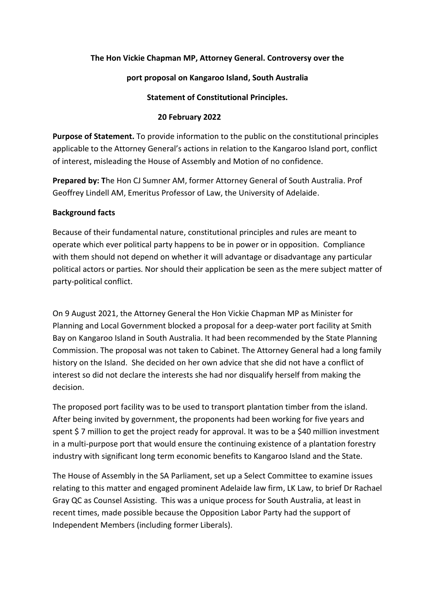### **The Hon Vickie Chapman MP, Attorney General. Controversy over the**

#### **port proposal on Kangaroo Island, South Australia**

### **Statement of Constitutional Principles.**

#### **20 February 2022**

**Purpose of Statement.** To provide information to the public on the constitutional principles applicable to the Attorney General's actions in relation to the Kangaroo Island port, conflict of interest, misleading the House of Assembly and Motion of no confidence.

**Prepared by: T**he Hon CJ Sumner AM, former Attorney General of South Australia. Prof Geoffrey Lindell AM, Emeritus Professor of Law, the University of Adelaide.

#### **Background facts**

Because of their fundamental nature, constitutional principles and rules are meant to operate which ever political party happens to be in power or in opposition. Compliance with them should not depend on whether it will advantage or disadvantage any particular political actors or parties. Nor should their application be seen as the mere subject matter of party-political conflict.

On 9 August 2021, the Attorney General the Hon Vickie Chapman MP as Minister for Planning and Local Government blocked a proposal for a deep-water port facility at Smith Bay on Kangaroo Island in South Australia. It had been recommended by the State Planning Commission. The proposal was not taken to Cabinet. The Attorney General had a long family history on the Island. She decided on her own advice that she did not have a conflict of interest so did not declare the interests she had nor disqualify herself from making the decision.

The proposed port facility was to be used to transport plantation timber from the island. After being invited by government, the proponents had been working for five years and spent \$ 7 million to get the project ready for approval. It was to be a \$40 million investment in a multi-purpose port that would ensure the continuing existence of a plantation forestry industry with significant long term economic benefits to Kangaroo Island and the State.

The House of Assembly in the SA Parliament, set up a Select Committee to examine issues relating to this matter and engaged prominent Adelaide law firm, LK Law, to brief Dr Rachael Gray QC as Counsel Assisting. This was a unique process for South Australia, at least in recent times, made possible because the Opposition Labor Party had the support of Independent Members (including former Liberals).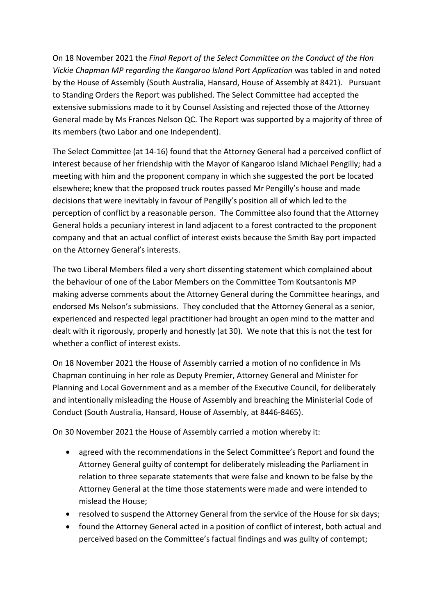On 18 November 2021 the *Final Report of the Select Committee on the Conduct of the Hon Vickie Chapman MP regarding the Kangaroo Island Port Application* was tabled in and noted by the House of Assembly (South Australia, Hansard, House of Assembly at 8421). Pursuant to Standing Orders the Report was published. The Select Committee had accepted the extensive submissions made to it by Counsel Assisting and rejected those of the Attorney General made by Ms Frances Nelson QC. The Report was supported by a majority of three of its members (two Labor and one Independent).

The Select Committee (at 14-16) found that the Attorney General had a perceived conflict of interest because of her friendship with the Mayor of Kangaroo Island Michael Pengilly; had a meeting with him and the proponent company in which she suggested the port be located elsewhere; knew that the proposed truck routes passed Mr Pengilly's house and made decisions that were inevitably in favour of Pengilly's position all of which led to the perception of conflict by a reasonable person. The Committee also found that the Attorney General holds a pecuniary interest in land adjacent to a forest contracted to the proponent company and that an actual conflict of interest exists because the Smith Bay port impacted on the Attorney General's interests.

The two Liberal Members filed a very short dissenting statement which complained about the behaviour of one of the Labor Members on the Committee Tom Koutsantonis MP making adverse comments about the Attorney General during the Committee hearings, and endorsed Ms Nelson's submissions. They concluded that the Attorney General as a senior, experienced and respected legal practitioner had brought an open mind to the matter and dealt with it rigorously, properly and honestly (at 30). We note that this is not the test for whether a conflict of interest exists.

On 18 November 2021 the House of Assembly carried a motion of no confidence in Ms Chapman continuing in her role as Deputy Premier, Attorney General and Minister for Planning and Local Government and as a member of the Executive Council, for deliberately and intentionally misleading the House of Assembly and breaching the Ministerial Code of Conduct (South Australia, Hansard, House of Assembly, at 8446-8465).

On 30 November 2021 the House of Assembly carried a motion whereby it:

- agreed with the recommendations in the Select Committee's Report and found the Attorney General guilty of contempt for deliberately misleading the Parliament in relation to three separate statements that were false and known to be false by the Attorney General at the time those statements were made and were intended to mislead the House;
- resolved to suspend the Attorney General from the service of the House for six days;
- found the Attorney General acted in a position of conflict of interest, both actual and perceived based on the Committee's factual findings and was guilty of contempt;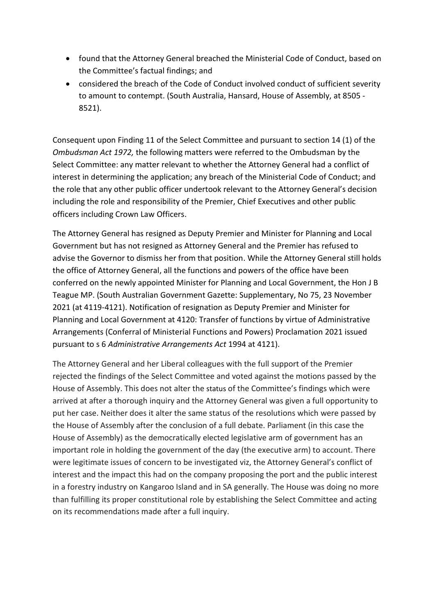- found that the Attorney General breached the Ministerial Code of Conduct, based on the Committee's factual findings; and
- considered the breach of the Code of Conduct involved conduct of sufficient severity to amount to contempt. (South Australia, Hansard, House of Assembly, at 8505 - 8521).

Consequent upon Finding 11 of the Select Committee and pursuant to section 14 (1) of the *Ombudsman Act 1972,* the following matters were referred to the Ombudsman by the Select Committee: any matter relevant to whether the Attorney General had a conflict of interest in determining the application; any breach of the Ministerial Code of Conduct; and the role that any other public officer undertook relevant to the Attorney General's decision including the role and responsibility of the Premier, Chief Executives and other public officers including Crown Law Officers.

The Attorney General has resigned as Deputy Premier and Minister for Planning and Local Government but has not resigned as Attorney General and the Premier has refused to advise the Governor to dismiss her from that position. While the Attorney General still holds the office of Attorney General, all the functions and powers of the office have been conferred on the newly appointed Minister for Planning and Local Government, the Hon J B Teague MP. (South Australian Government Gazette: Supplementary, No 75, 23 November 2021 (at 4119-4121). Notification of resignation as Deputy Premier and Minister for Planning and Local Government at 4120: Transfer of functions by virtue of Administrative Arrangements (Conferral of Ministerial Functions and Powers) Proclamation 2021 issued pursuant to s 6 *Administrative Arrangements Act* 1994 at 4121).

The Attorney General and her Liberal colleagues with the full support of the Premier rejected the findings of the Select Committee and voted against the motions passed by the House of Assembly. This does not alter the status of the Committee's findings which were arrived at after a thorough inquiry and the Attorney General was given a full opportunity to put her case. Neither does it alter the same status of the resolutions which were passed by the House of Assembly after the conclusion of a full debate. Parliament (in this case the House of Assembly) as the democratically elected legislative arm of government has an important role in holding the government of the day (the executive arm) to account. There were legitimate issues of concern to be investigated viz, the Attorney General's conflict of interest and the impact this had on the company proposing the port and the public interest in a forestry industry on Kangaroo Island and in SA generally. The House was doing no more than fulfilling its proper constitutional role by establishing the Select Committee and acting on its recommendations made after a full inquiry.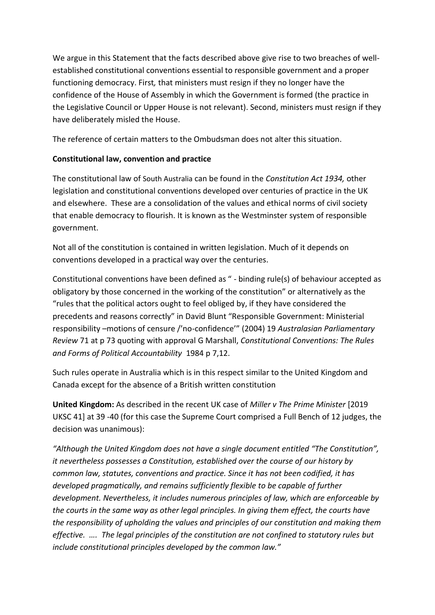We argue in this Statement that the facts described above give rise to two breaches of wellestablished constitutional conventions essential to responsible government and a proper functioning democracy. First*,* that ministers must resign if they no longer have the confidence of the House of Assembly in which the Government is formed (the practice in the Legislative Council or Upper House is not relevant). Second, ministers must resign if they have deliberately misled the House.

The reference of certain matters to the Ombudsman does not alter this situation.

# **Constitutional law, convention and practice**

The constitutional law of South Australia can be found in the *Constitution Act 1934,* other legislation and constitutional conventions developed over centuries of practice in the UK and elsewhere. These are a consolidation of the values and ethical norms of civil society that enable democracy to flourish. It is known as the Westminster system of responsible government.

Not all of the constitution is contained in written legislation. Much of it depends on conventions developed in a practical way over the centuries.

Constitutional conventions have been defined as " - binding rule(s) of behaviour accepted as obligatory by those concerned in the working of the constitution" or alternatively as the "rules that the political actors ought to feel obliged by, if they have considered the precedents and reasons correctly" in David Blunt "Responsible Government: Ministerial responsibility –motions of censure /'no-confidence'" (2004) 19 *Australasian Parliamentary Review* 71 at p 73 quoting with approval G Marshall, *Constitutional Conventions: The Rules and Forms of Political Accountability* 1984 p 7,12.

Such rules operate in Australia which is in this respect similar to the United Kingdom and Canada except for the absence of a British written constitution

**United Kingdom:** As described in the recent UK case of *Miller v The Prime Minister* [2019 UKSC 41] at 39 -40 (for this case the Supreme Court comprised a Full Bench of 12 judges, the decision was unanimous):

*"Although the United Kingdom does not have a single document entitled "The Constitution", it nevertheless possesses a Constitution, established over the course of our history by common law, statutes, conventions and practice. Since it has not been codified, it has developed pragmatically, and remains sufficiently flexible to be capable of further development. Nevertheless, it includes numerous principles of law, which are enforceable by the courts in the same way as other legal principles. In giving them effect, the courts have the responsibility of upholding the values and principles of our constitution and making them effective. …. The legal principles of the constitution are not confined to statutory rules but include constitutional principles developed by the common law."*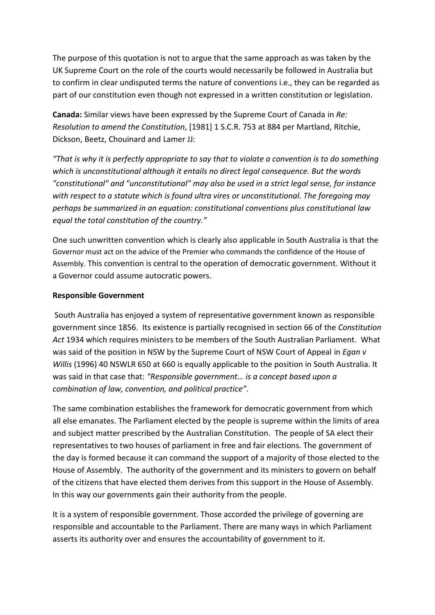The purpose of this quotation is not to argue that the same approach as was taken by the UK Supreme Court on the role of the courts would necessarily be followed in Australia but to confirm in clear undisputed terms the nature of conventions i.e., they can be regarded as part of our constitution even though not expressed in a written constitution or legislation.

**Canada:** Similar views have been expressed by the Supreme Court of Canada in *Re: Resolution to amend the Constitution*, [1981] 1 S.C.R. 753 at 884 per Martland, Ritchie, Dickson, Beetz, Chouinard and Lamer JJ:

*"That is why it is perfectly appropriate to say that to violate a convention is to do something which is unconstitutional although it entails no direct legal consequence. But the words "constitutional" and "unconstitutional" may also be used in a strict legal sense, for instance with respect to a statute which is found ultra vires or unconstitutional. The foregoing may perhaps be summarized in an equation: constitutional conventions plus constitutional law equal the total constitution of the country."*

One such unwritten convention which is clearly also applicable in South Australia is that the Governor must act on the advice of the Premier who commands the confidence of the House of Assembly. This convention is central to the operation of democratic government. Without it a Governor could assume autocratic powers.

#### **Responsible Government**

South Australia has enjoyed a system of representative government known as responsible government since 1856. Its existence is partially recognised in section 66 of the *Constitution Act* 1934 which requires ministers to be members of the South Australian Parliament. What was said of the position in NSW by the Supreme Court of NSW Court of Appeal in *Egan v Willis* (1996) 40 NSWLR 650 at 660 is equally applicable to the position in South Australia. It was said in that case that: *"Responsible government… is a concept based upon a combination of law, convention, and political practice".*

The same combination establishes the framework for democratic government from which all else emanates. The Parliament elected by the people is supreme within the limits of area and subject matter prescribed by the Australian Constitution. The people of SA elect their representatives to two houses of parliament in free and fair elections. The government of the day is formed because it can command the support of a majority of those elected to the House of Assembly. The authority of the government and its ministers to govern on behalf of the citizens that have elected them derives from this support in the House of Assembly. In this way our governments gain their authority from the people.

It is a system of responsible government. Those accorded the privilege of governing are responsible and accountable to the Parliament. There are many ways in which Parliament asserts its authority over and ensures the accountability of government to it.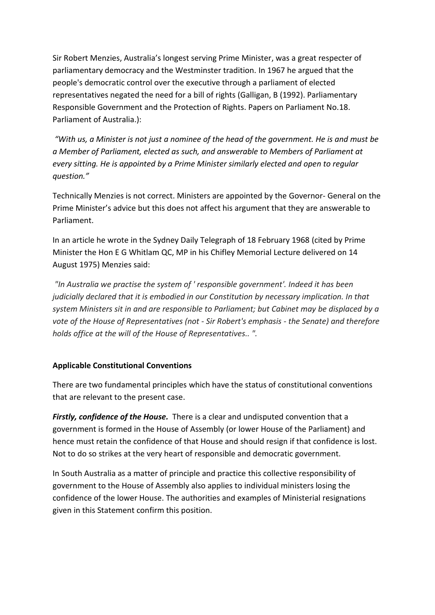Sir Robert Menzies, Australia's longest serving Prime Minister, was a great respecter of parliamentary democracy and the Westminster tradition. In 1967 he argued that the people's democratic control over the executive through a parliament of elected representatives negated the need for a bill of rights (Galligan, B (1992). Parliamentary Responsible Government and the Protection of Rights. Papers on Parliament No.18. Parliament of Australia.):

*"With us, a Minister is not just a nominee of the head of the government. He is and must be a Member of Parliament, elected as such, and answerable to Members of Parliament at every sitting. He is appointed by a Prime Minister similarly elected and open to regular question."*

Technically Menzies is not correct. Ministers are appointed by the Governor- General on the Prime Minister's advice but this does not affect his argument that they are answerable to Parliament.

In an article he wrote in the Sydney Daily Telegraph of 18 February 1968 (cited by Prime Minister the Hon E G Whitlam QC, MP in his Chifley Memorial Lecture delivered on 14 August 1975) Menzies said:

*"In Australia we practise the system of ' responsible government'. Indeed it has been judicially declared that it is embodied in our Constitution by necessary implication. In that system Ministers sit in and are responsible to Parliament; but Cabinet may be displaced by a vote of the House of Representatives (not - Sir Robert's emphasis - the Senate) and therefore holds office at the will of the House of Representatives.. ".*

## **Applicable Constitutional Conventions**

There are two fundamental principles which have the status of constitutional conventions that are relevant to the present case.

*Firstly, confidence of the House.* There is a clear and undisputed convention that a government is formed in the House of Assembly (or lower House of the Parliament) and hence must retain the confidence of that House and should resign if that confidence is lost. Not to do so strikes at the very heart of responsible and democratic government.

In South Australia as a matter of principle and practice this collective responsibility of government to the House of Assembly also applies to individual ministers losing the confidence of the lower House. The authorities and examples of Ministerial resignations given in this Statement confirm this position.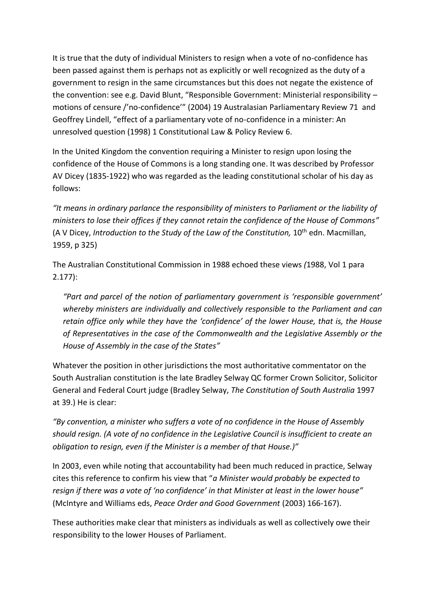It is true that the duty of individual Ministers to resign when a vote of no-confidence has been passed against them is perhaps not as explicitly or well recognized as the duty of a government to resign in the same circumstances but this does not negate the existence of the convention: see e.g. David Blunt, "Responsible Government: Ministerial responsibility – motions of censure /'no-confidence'" (2004) 19 Australasian Parliamentary Review 71 and Geoffrey Lindell, "effect of a parliamentary vote of no-confidence in a minister: An unresolved question (1998) 1 Constitutional Law & Policy Review 6.

In the United Kingdom the convention requiring a Minister to resign upon losing the confidence of the House of Commons is a long standing one. It was described by Professor AV Dicey (1835-1922) who was regarded as the leading constitutional scholar of his day as follows:

*"It means in ordinary parlance the responsibility of ministers to Parliament or the liability of ministers to lose their offices if they cannot retain the confidence of the House of Commons"* (A V Dicey, *Introduction to the Study of the Law of the Constitution*, 10<sup>th</sup> edn. Macmillan, 1959, p 325)

The Australian Constitutional Commission in 1988 echoed these views *(*1988, Vol 1 para 2.177):

*"Part and parcel of the notion of parliamentary government is 'responsible government' whereby ministers are individually and collectively responsible to the Parliament and can retain office only while they have the 'confidence' of the lower House, that is, the House of Representatives in the case of the Commonwealth and the Legislative Assembly or the House of Assembly in the case of the States"*

Whatever the position in other jurisdictions the most authoritative commentator on the South Australian constitution is the late Bradley Selway QC former Crown Solicitor, Solicitor General and Federal Court judge (Bradley Selway, *The Constitution of South Australia* 1997 at 39.) He is clear:

*"By convention, a minister who suffers a vote of no confidence in the House of Assembly should resign. (A vote of no confidence in the Legislative Council is insufficient to create an obligation to resign, even if the Minister is a member of that House.)"* 

In 2003, even while noting that accountability had been much reduced in practice, Selway cites this reference to confirm his view that "*a Minister would probably be expected to resign if there was a vote of 'no confidence' in that Minister at least in the lower house"* (McIntyre and Williams eds, *Peace Order and Good Government* (2003) 166-167).

These authorities make clear that ministers as individuals as well as collectively owe their responsibility to the lower Houses of Parliament.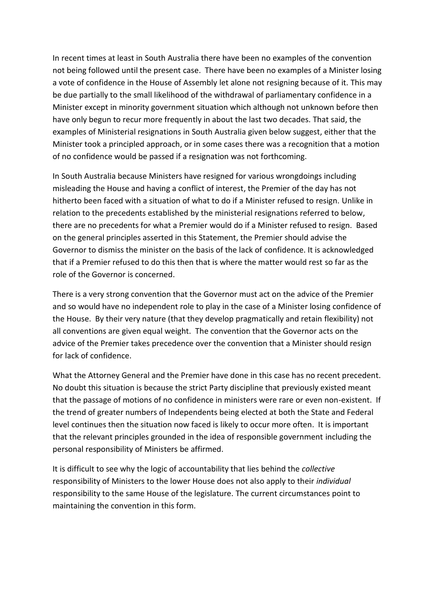In recent times at least in South Australia there have been no examples of the convention not being followed until the present case. There have been no examples of a Minister losing a vote of confidence in the House of Assembly let alone not resigning because of it. This may be due partially to the small likelihood of the withdrawal of parliamentary confidence in a Minister except in minority government situation which although not unknown before then have only begun to recur more frequently in about the last two decades. That said, the examples of Ministerial resignations in South Australia given below suggest, either that the Minister took a principled approach, or in some cases there was a recognition that a motion of no confidence would be passed if a resignation was not forthcoming.

In South Australia because Ministers have resigned for various wrongdoings including misleading the House and having a conflict of interest, the Premier of the day has not hitherto been faced with a situation of what to do if a Minister refused to resign. Unlike in relation to the precedents established by the ministerial resignations referred to below, there are no precedents for what a Premier would do if a Minister refused to resign. Based on the general principles asserted in this Statement, the Premier should advise the Governor to dismiss the minister on the basis of the lack of confidence. It is acknowledged that if a Premier refused to do this then that is where the matter would rest so far as the role of the Governor is concerned.

There is a very strong convention that the Governor must act on the advice of the Premier and so would have no independent role to play in the case of a Minister losing confidence of the House. By their very nature (that they develop pragmatically and retain flexibility) not all conventions are given equal weight. The convention that the Governor acts on the advice of the Premier takes precedence over the convention that a Minister should resign for lack of confidence.

What the Attorney General and the Premier have done in this case has no recent precedent. No doubt this situation is because the strict Party discipline that previously existed meant that the passage of motions of no confidence in ministers were rare or even non-existent. If the trend of greater numbers of Independents being elected at both the State and Federal level continues then the situation now faced is likely to occur more often. It is important that the relevant principles grounded in the idea of responsible government including the personal responsibility of Ministers be affirmed.

It is difficult to see why the logic of accountability that lies behind the *collective* responsibility of Ministers to the lower House does not also apply to their *individual* responsibility to the same House of the legislature. The current circumstances point to maintaining the convention in this form.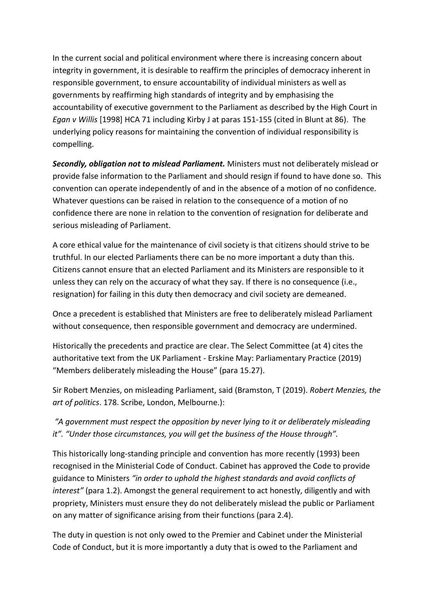In the current social and political environment where there is increasing concern about integrity in government, it is desirable to reaffirm the principles of democracy inherent in responsible government, to ensure accountability of individual ministers as well as governments by reaffirming high standards of integrity and by emphasising the accountability of executive government to the Parliament as described by the High Court in *Egan v Willis* [1998] HCA 71 including Kirby J at paras 151-155 (cited in Blunt at 86). The underlying policy reasons for maintaining the convention of individual responsibility is compelling.

*Secondly, obligation not to mislead Parliament.* Ministers must not deliberately mislead or provide false information to the Parliament and should resign if found to have done so. This convention can operate independently of and in the absence of a motion of no confidence. Whatever questions can be raised in relation to the consequence of a motion of no confidence there are none in relation to the convention of resignation for deliberate and serious misleading of Parliament.

A core ethical value for the maintenance of civil society is that citizens should strive to be truthful. In our elected Parliaments there can be no more important a duty than this. Citizens cannot ensure that an elected Parliament and its Ministers are responsible to it unless they can rely on the accuracy of what they say. If there is no consequence (i.e., resignation) for failing in this duty then democracy and civil society are demeaned.

Once a precedent is established that Ministers are free to deliberately mislead Parliament without consequence, then responsible government and democracy are undermined.

Historically the precedents and practice are clear. The Select Committee (at 4) cites the authoritative text from the UK Parliament - Erskine May: Parliamentary Practice (2019) "Members deliberately misleading the House" (para 15.27).

Sir Robert Menzies, on misleading Parliament, said (Bramston, T (2019). *Robert Menzies, the art of politics*. 178. Scribe, London, Melbourne.):

*"A government must respect the opposition by never lying to it or deliberately misleading it". "Under those circumstances, you will get the business of the House through".* 

This historically long-standing principle and convention has more recently (1993) been recognised in the Ministerial Code of Conduct. Cabinet has approved the Code to provide guidance to Ministers *"in order to uphold the highest standards and avoid conflicts of interest"* (para 1.2). Amongst the general requirement to act honestly, diligently and with propriety, Ministers must ensure they do not deliberately mislead the public or Parliament on any matter of significance arising from their functions (para 2.4).

The duty in question is not only owed to the Premier and Cabinet under the Ministerial Code of Conduct, but it is more importantly a duty that is owed to the Parliament and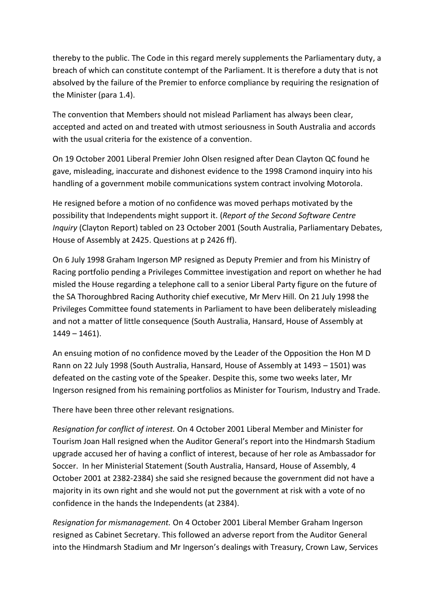thereby to the public. The Code in this regard merely supplements the Parliamentary duty, a breach of which can constitute contempt of the Parliament. It is therefore a duty that is not absolved by the failure of the Premier to enforce compliance by requiring the resignation of the Minister (para 1.4).

The convention that Members should not mislead Parliament has always been clear, accepted and acted on and treated with utmost seriousness in South Australia and accords with the usual criteria for the existence of a convention.

On 19 October 2001 Liberal Premier John Olsen resigned after Dean Clayton QC found he gave, misleading, inaccurate and dishonest evidence to the 1998 Cramond inquiry into his handling of a government mobile communications system contract involving Motorola.

He resigned before a motion of no confidence was moved perhaps motivated by the possibility that Independents might support it. (*Report of the Second Software Centre Inquiry* (Clayton Report) tabled on 23 October 2001 (South Australia, Parliamentary Debates, House of Assembly at 2425. Questions at p 2426 ff).

On 6 July 1998 Graham Ingerson MP resigned as Deputy Premier and from his Ministry of Racing portfolio pending a Privileges Committee investigation and report on whether he had misled the House regarding a telephone call to a senior Liberal Party figure on the future of the SA Thoroughbred Racing Authority chief executive, Mr Merv Hill. On 21 July 1998 the Privileges Committee found statements in Parliament to have been deliberately misleading and not a matter of little consequence (South Australia, Hansard, House of Assembly at  $1449 - 1461$ ).

An ensuing motion of no confidence moved by the Leader of the Opposition the Hon M D Rann on 22 July 1998 (South Australia, Hansard, House of Assembly at 1493 – 1501) was defeated on the casting vote of the Speaker. Despite this, some two weeks later, Mr Ingerson resigned from his remaining portfolios as Minister for Tourism, Industry and Trade.

There have been three other relevant resignations.

*Resignation for conflict of interest.* On 4 October 2001 Liberal Member and Minister for Tourism Joan Hall resigned when the Auditor General's report into the Hindmarsh Stadium upgrade accused her of having a conflict of interest, because of her role as Ambassador for Soccer. In her Ministerial Statement (South Australia, Hansard, House of Assembly, 4 October 2001 at 2382-2384) she said she resigned because the government did not have a majority in its own right and she would not put the government at risk with a vote of no confidence in the hands the Independents (at 2384).

*Resignation for mismanagement.* On 4 October 2001 Liberal Member Graham Ingerson resigned as Cabinet Secretary. This followed an adverse report from the Auditor General into the Hindmarsh Stadium and Mr Ingerson's dealings with Treasury, Crown Law, Services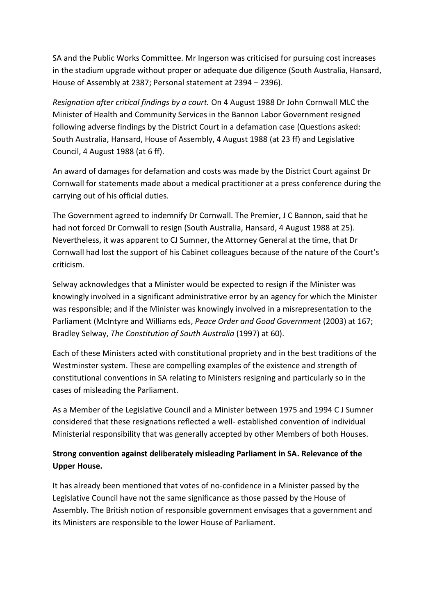SA and the Public Works Committee. Mr Ingerson was criticised for pursuing cost increases in the stadium upgrade without proper or adequate due diligence (South Australia, Hansard, House of Assembly at 2387; Personal statement at 2394 – 2396).

*Resignation after critical findings by a court.* On 4 August 1988 Dr John Cornwall MLC the Minister of Health and Community Services in the Bannon Labor Government resigned following adverse findings by the District Court in a defamation case (Questions asked: South Australia, Hansard, House of Assembly, 4 August 1988 (at 23 ff) and Legislative Council, 4 August 1988 (at 6 ff).

An award of damages for defamation and costs was made by the District Court against Dr Cornwall for statements made about a medical practitioner at a press conference during the carrying out of his official duties.

The Government agreed to indemnify Dr Cornwall. The Premier, J C Bannon, said that he had not forced Dr Cornwall to resign (South Australia, Hansard, 4 August 1988 at 25). Nevertheless, it was apparent to CJ Sumner, the Attorney General at the time, that Dr Cornwall had lost the support of his Cabinet colleagues because of the nature of the Court's criticism.

Selway acknowledges that a Minister would be expected to resign if the Minister was knowingly involved in a significant administrative error by an agency for which the Minister was responsible; and if the Minister was knowingly involved in a misrepresentation to the Parliament (McIntyre and Williams eds, *Peace Order and Good Government* (2003) at 167; Bradley Selway, *The Constitution of South Australia* (1997) at 60).

Each of these Ministers acted with constitutional propriety and in the best traditions of the Westminster system. These are compelling examples of the existence and strength of constitutional conventions in SA relating to Ministers resigning and particularly so in the cases of misleading the Parliament.

As a Member of the Legislative Council and a Minister between 1975 and 1994 C J Sumner considered that these resignations reflected a well- established convention of individual Ministerial responsibility that was generally accepted by other Members of both Houses.

# **Strong convention against deliberately misleading Parliament in SA. Relevance of the Upper House.**

It has already been mentioned that votes of no-confidence in a Minister passed by the Legislative Council have not the same significance as those passed by the House of Assembly. The British notion of responsible government envisages that a government and its Ministers are responsible to the lower House of Parliament.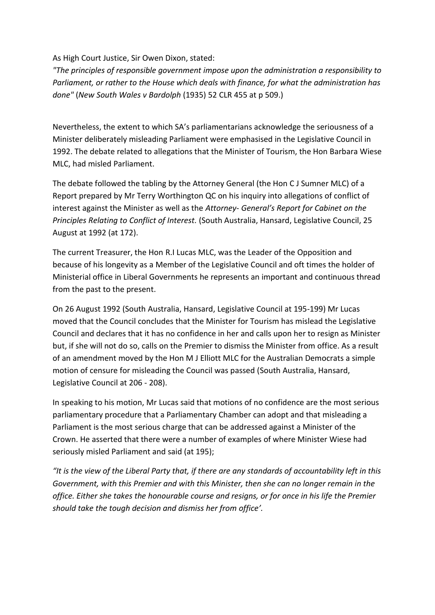As High Court Justice, Sir Owen Dixon, stated:

*"The principles of responsible government impose upon the administration a responsibility to Parliament, or rather to the House which deals with finance, for what the administration has done"* (*New South Wales v Bardolph* (1935) 52 CLR 455 at p 509.)

Nevertheless, the extent to which SA's parliamentarians acknowledge the seriousness of a Minister deliberately misleading Parliament were emphasised in the Legislative Council in 1992. The debate related to allegations that the Minister of Tourism, the Hon Barbara Wiese MLC, had misled Parliament.

The debate followed the tabling by the Attorney General (the Hon C J Sumner MLC) of a Report prepared by Mr Terry Worthington QC on his inquiry into allegations of conflict of interest against the Minister as well as the *Attorney- General's Report for Cabinet on the Principles Relating to Conflict of Interest.* (South Australia, Hansard, Legislative Council, 25 August at 1992 (at 172).

The current Treasurer, the Hon R.I Lucas MLC, was the Leader of the Opposition and because of his longevity as a Member of the Legislative Council and oft times the holder of Ministerial office in Liberal Governments he represents an important and continuous thread from the past to the present.

On 26 August 1992 (South Australia, Hansard, Legislative Council at 195-199) Mr Lucas moved that the Council concludes that the Minister for Tourism has mislead the Legislative Council and declares that it has no confidence in her and calls upon her to resign as Minister but, if she will not do so, calls on the Premier to dismiss the Minister from office. As a result of an amendment moved by the Hon M J Elliott MLC for the Australian Democrats a simple motion of censure for misleading the Council was passed (South Australia, Hansard, Legislative Council at 206 - 208).

In speaking to his motion, Mr Lucas said that motions of no confidence are the most serious parliamentary procedure that a Parliamentary Chamber can adopt and that misleading a Parliament is the most serious charge that can be addressed against a Minister of the Crown. He asserted that there were a number of examples of where Minister Wiese had seriously misled Parliament and said (at 195);

*"It is the view of the Liberal Party that, if there are any standards of accountability left in this Government, with this Premier and with this Minister, then she can no longer remain in the office. Either she takes the honourable course and resigns, or for once in his life the Premier should take the tough decision and dismiss her from office'.*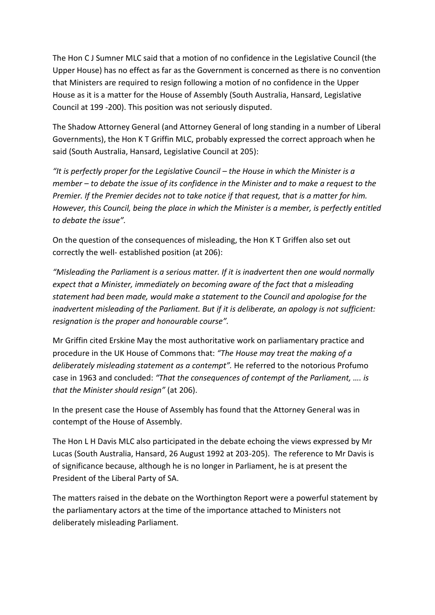The Hon C J Sumner MLC said that a motion of no confidence in the Legislative Council (the Upper House) has no effect as far as the Government is concerned as there is no convention that Ministers are required to resign following a motion of no confidence in the Upper House as it is a matter for the House of Assembly (South Australia, Hansard, Legislative Council at 199 -200). This position was not seriously disputed.

The Shadow Attorney General (and Attorney General of long standing in a number of Liberal Governments), the Hon K T Griffin MLC, probably expressed the correct approach when he said (South Australia, Hansard, Legislative Council at 205):

*"It is perfectly proper for the Legislative Council – the House in which the Minister is a member – to debate the issue of its confidence in the Minister and to make a request to the Premier. If the Premier decides not to take notice if that request, that is a matter for him. However, this Council, being the place in which the Minister is a member, is perfectly entitled to debate the issue".* 

On the question of the consequences of misleading, the Hon K T Griffen also set out correctly the well- established position (at 206):

*"Misleading the Parliament is a serious matter. If it is inadvertent then one would normally expect that a Minister, immediately on becoming aware of the fact that a misleading statement had been made, would make a statement to the Council and apologise for the inadvertent misleading of the Parliament. But if it is deliberate, an apology is not sufficient: resignation is the proper and honourable course".*

Mr Griffin cited Erskine May the most authoritative work on parliamentary practice and procedure in the UK House of Commons that: *"The House may treat the making of a deliberately misleading statement as a contempt".* He referred to the notorious Profumo case in 1963 and concluded: *"That the consequences of contempt of the Parliament, …. is that the Minister should resign"* (at 206).

In the present case the House of Assembly has found that the Attorney General was in contempt of the House of Assembly.

The Hon L H Davis MLC also participated in the debate echoing the views expressed by Mr Lucas (South Australia, Hansard, 26 August 1992 at 203-205). The reference to Mr Davis is of significance because, although he is no longer in Parliament, he is at present the President of the Liberal Party of SA.

The matters raised in the debate on the Worthington Report were a powerful statement by the parliamentary actors at the time of the importance attached to Ministers not deliberately misleading Parliament.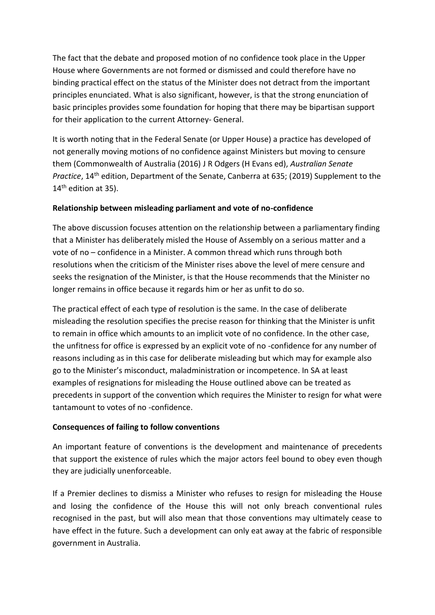The fact that the debate and proposed motion of no confidence took place in the Upper House where Governments are not formed or dismissed and could therefore have no binding practical effect on the status of the Minister does not detract from the important principles enunciated. What is also significant, however, is that the strong enunciation of basic principles provides some foundation for hoping that there may be bipartisan support for their application to the current Attorney- General.

It is worth noting that in the Federal Senate (or Upper House) a practice has developed of not generally moving motions of no confidence against Ministers but moving to censure them (Commonwealth of Australia (2016) J R Odgers (H Evans ed), *Australian Senate Practice*, 14<sup>th</sup> edition, Department of the Senate, Canberra at 635; (2019) Supplement to the 14<sup>th</sup> edition at 35).

## **Relationship between misleading parliament and vote of no-confidence**

The above discussion focuses attention on the relationship between a parliamentary finding that a Minister has deliberately misled the House of Assembly on a serious matter and a vote of no – confidence in a Minister. A common thread which runs through both resolutions when the criticism of the Minister rises above the level of mere censure and seeks the resignation of the Minister, is that the House recommends that the Minister no longer remains in office because it regards him or her as unfit to do so.

The practical effect of each type of resolution is the same. In the case of deliberate misleading the resolution specifies the precise reason for thinking that the Minister is unfit to remain in office which amounts to an implicit vote of no confidence. In the other case, the unfitness for office is expressed by an explicit vote of no -confidence for any number of reasons including as in this case for deliberate misleading but which may for example also go to the Minister's misconduct, maladministration or incompetence. In SA at least examples of resignations for misleading the House outlined above can be treated as precedents in support of the convention which requires the Minister to resign for what were tantamount to votes of no -confidence.

## **Consequences of failing to follow conventions**

An important feature of conventions is the development and maintenance of precedents that support the existence of rules which the major actors feel bound to obey even though they are judicially unenforceable.

If a Premier declines to dismiss a Minister who refuses to resign for misleading the House and losing the confidence of the House this will not only breach conventional rules recognised in the past, but will also mean that those conventions may ultimately cease to have effect in the future. Such a development can only eat away at the fabric of responsible government in Australia.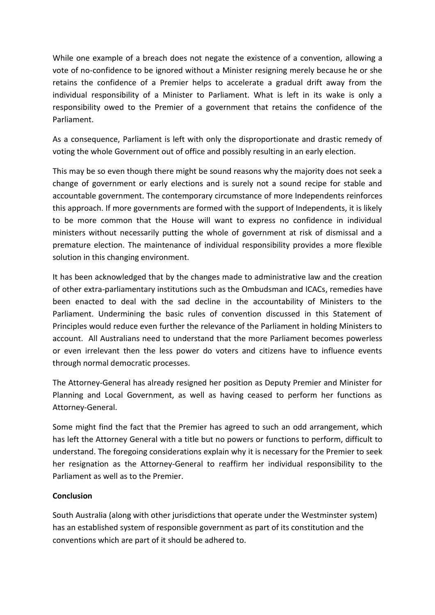While one example of a breach does not negate the existence of a convention, allowing a vote of no-confidence to be ignored without a Minister resigning merely because he or she retains the confidence of a Premier helps to accelerate a gradual drift away from the individual responsibility of a Minister to Parliament. What is left in its wake is only a responsibility owed to the Premier of a government that retains the confidence of the Parliament.

As a consequence, Parliament is left with only the disproportionate and drastic remedy of voting the whole Government out of office and possibly resulting in an early election.

This may be so even though there might be sound reasons why the majority does not seek a change of government or early elections and is surely not a sound recipe for stable and accountable government. The contemporary circumstance of more Independents reinforces this approach. If more governments are formed with the support of Independents, it is likely to be more common that the House will want to express no confidence in individual ministers without necessarily putting the whole of government at risk of dismissal and a premature election. The maintenance of individual responsibility provides a more flexible solution in this changing environment.

It has been acknowledged that by the changes made to administrative law and the creation of other extra-parliamentary institutions such as the Ombudsman and ICACs, remedies have been enacted to deal with the sad decline in the accountability of Ministers to the Parliament. Undermining the basic rules of convention discussed in this Statement of Principles would reduce even further the relevance of the Parliament in holding Ministers to account. All Australians need to understand that the more Parliament becomes powerless or even irrelevant then the less power do voters and citizens have to influence events through normal democratic processes.

The Attorney-General has already resigned her position as Deputy Premier and Minister for Planning and Local Government, as well as having ceased to perform her functions as Attorney-General.

Some might find the fact that the Premier has agreed to such an odd arrangement, which has left the Attorney General with a title but no powers or functions to perform, difficult to understand. The foregoing considerations explain why it is necessary for the Premier to seek her resignation as the Attorney-General to reaffirm her individual responsibility to the Parliament as well as to the Premier.

## **Conclusion**

South Australia (along with other jurisdictions that operate under the Westminster system) has an established system of responsible government as part of its constitution and the conventions which are part of it should be adhered to.